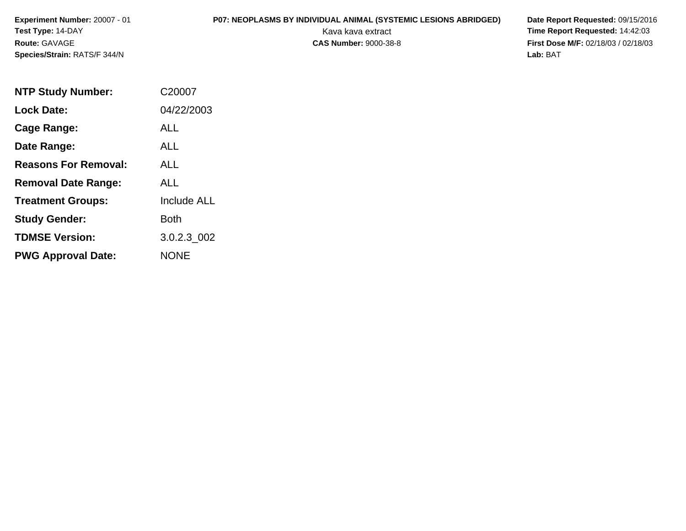# **P07: NEOPLASMS BY INDIVIDUAL ANIMAL (SYSTEMIC LESIONS ABRIDGED) Date Report Requested:** 09/15/2016

 Kava kava extract **Time Report Requested:** 14:42:03 **First Dose M/F:** 02/18/03 / 02/18/03 Lab: BAT **Lab:** BAT

| <b>NTP Study Number:</b>    | C20007             |
|-----------------------------|--------------------|
| <b>Lock Date:</b>           | 04/22/2003         |
| Cage Range:                 | <b>ALL</b>         |
| Date Range:                 | <b>ALL</b>         |
| <b>Reasons For Removal:</b> | ALL                |
| <b>Removal Date Range:</b>  | ALL                |
| <b>Treatment Groups:</b>    | <b>Include ALL</b> |
| <b>Study Gender:</b>        | <b>Both</b>        |
| <b>TDMSE Version:</b>       | 3.0.2.3 002        |
| <b>PWG Approval Date:</b>   | <b>NONE</b>        |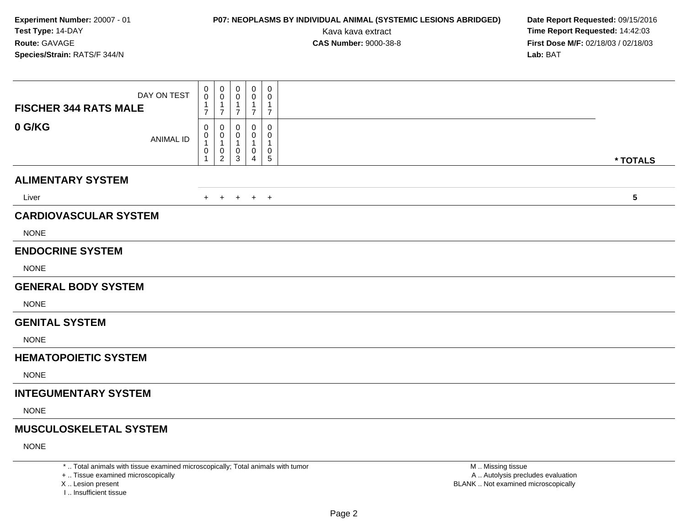# **P07: NEOPLASMS BY INDIVIDUAL ANIMAL (SYSTEMIC LESIONS ABRIDGED) Date Report Requested:** 09/15/2016

Kava kava extract **Time Report Requested:** 14:42:03<br>**CAS Number:** 9000-38-8 **Time Report Requested:** 14:42:03 **First Dose M/F:** 02/18/03 / 02/18/03<br>**Lab:** BAT **Lab:** BAT

| DAY ON TEST<br><b>FISCHER 344 RATS MALE</b> | 0<br>0<br>$\mathbf{1}$<br>$\overline{7}$ | 0<br>0<br>1<br>$\overline{7}$    | 0<br>0<br>7 | $\mathbf 0$<br>0<br>$\mathbf{1}$<br>$\overline{7}$ | 0<br>0<br>$\mathbf{1}$<br>$\overline{7}$ |                         |
|---------------------------------------------|------------------------------------------|----------------------------------|-------------|----------------------------------------------------|------------------------------------------|-------------------------|
| 0 G/KG<br><b>ANIMAL ID</b>                  | 0<br>0<br>$\mathbf{1}$<br>$\pmb{0}$<br>1 | 0<br>0<br>$\mathbf{1}$<br>0<br>2 | 0<br>0<br>3 | $\mathbf 0$<br>0<br>0<br>4                         | 0<br>0<br>-1<br>0<br>$\sqrt{5}$          | * TOTALS                |
| <b>ALIMENTARY SYSTEM</b>                    |                                          |                                  |             |                                                    |                                          |                         |
| Liver                                       | $+$                                      | $+$                              | $+$         | $+$ $+$                                            |                                          | $\overline{\mathbf{5}}$ |
| <b>CARDIOVASCULAR SYSTEM</b>                |                                          |                                  |             |                                                    |                                          |                         |
| <b>NONE</b>                                 |                                          |                                  |             |                                                    |                                          |                         |
| <b>ENDOCRINE SYSTEM</b>                     |                                          |                                  |             |                                                    |                                          |                         |
| <b>NONE</b>                                 |                                          |                                  |             |                                                    |                                          |                         |
| <b>GENERAL BODY SYSTEM</b>                  |                                          |                                  |             |                                                    |                                          |                         |
| <b>NONE</b>                                 |                                          |                                  |             |                                                    |                                          |                         |
| <b>GENITAL SYSTEM</b>                       |                                          |                                  |             |                                                    |                                          |                         |
| <b>NONE</b>                                 |                                          |                                  |             |                                                    |                                          |                         |
| <b>HEMATOPOIETIC SYSTEM</b>                 |                                          |                                  |             |                                                    |                                          |                         |
| <b>NONE</b>                                 |                                          |                                  |             |                                                    |                                          |                         |
| <b>INTEGUMENTARY SYSTEM</b>                 |                                          |                                  |             |                                                    |                                          |                         |
| <b>NONE</b>                                 |                                          |                                  |             |                                                    |                                          |                         |
| <b>MUSCULOSKELETAL SYSTEM</b>               |                                          |                                  |             |                                                    |                                          |                         |
| <b>NONE</b>                                 |                                          |                                  |             |                                                    |                                          |                         |

\* .. Total animals with tissue examined microscopically; Total animals with tumor

+ .. Tissue examined microscopically

X .. Lesion present

I .. Insufficient tissue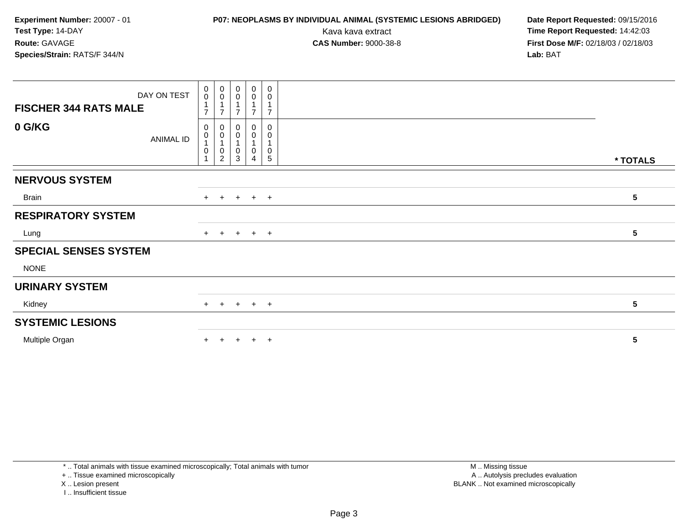Kava kava extract **Time Report Requested:** 14:42:03<br>**CAS Number:** 9000-38-8 **Time Report Requested:** 14:42:03 **First Dose M/F:** 02/18/03 / 02/18/03<br>**Lab:** BAT

| DAY ON TEST<br><b>FISCHER 344 RATS MALE</b> | 0<br>$\boldsymbol{0}$<br>$\overline{ }$ | $_{\rm 0}^{\rm 0}$<br>$\overline{A}$<br>⇁          | 0<br>$\pmb{0}$<br>$\overline{ }$<br>$\overline{ }$ | $\mathbf 0$<br>0<br>$\overline{7}$ | 0<br>0<br>$\overline{ }$ |                 |
|---------------------------------------------|-----------------------------------------|----------------------------------------------------|----------------------------------------------------|------------------------------------|--------------------------|-----------------|
| 0 G/KG<br>ANIMAL ID                         | 0<br>0<br>0                             | 0<br>$\pmb{0}$<br>1<br>$\pmb{0}$<br>$\overline{2}$ | 0<br>0<br>1<br>0<br>3                              | 0<br>0<br>0<br>4                   | 0<br>0<br>$\pmb{0}$<br>5 | * TOTALS        |
| <b>NERVOUS SYSTEM</b>                       |                                         |                                                    |                                                    |                                    |                          |                 |
| Brain                                       |                                         |                                                    |                                                    | $+$ + + + +                        |                          | 5               |
| <b>RESPIRATORY SYSTEM</b>                   |                                         |                                                    |                                                    |                                    |                          |                 |
| Lung                                        |                                         |                                                    |                                                    | + + + + +                          |                          | 5               |
| <b>SPECIAL SENSES SYSTEM</b>                |                                         |                                                    |                                                    |                                    |                          |                 |
| <b>NONE</b>                                 |                                         |                                                    |                                                    |                                    |                          |                 |
| <b>URINARY SYSTEM</b>                       |                                         |                                                    |                                                    |                                    |                          |                 |
| Kidney                                      |                                         |                                                    |                                                    | $+$ + + + +                        |                          | 5               |
| <b>SYSTEMIC LESIONS</b>                     |                                         |                                                    |                                                    |                                    |                          |                 |
| Multiple Organ                              | ÷.                                      |                                                    | $\div$                                             | $+$                                | $+$                      | $5\phantom{.0}$ |

\* .. Total animals with tissue examined microscopically; Total animals with tumor

+ .. Tissue examined microscopically

X .. Lesion present

I .. Insufficient tissue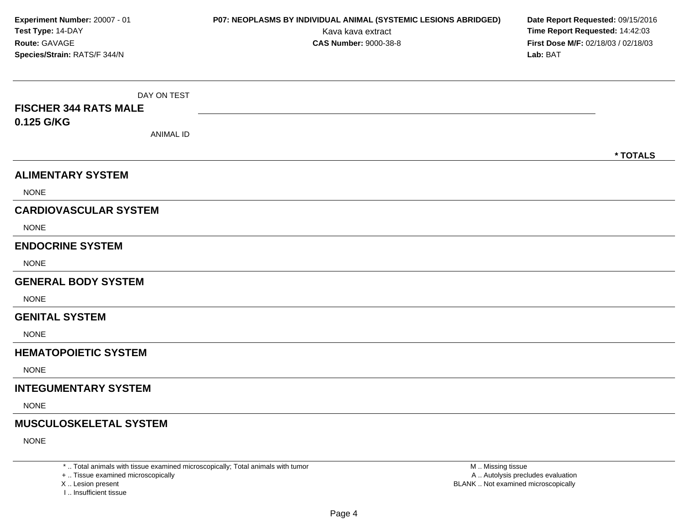| Experiment Number: 20007 - 01<br>Test Type: 14-DAY<br>Route: GAVAGE<br>Species/Strain: RATS/F 344/N | P07: NEOPLASMS BY INDIVIDUAL ANIMAL (SYSTEMIC LESIONS ABRIDGED)<br>Kava kava extract<br><b>CAS Number: 9000-38-8</b> | Date Report Requested: 09/15/2016<br>Time Report Requested: 14:42:03<br>First Dose M/F: 02/18/03 / 02/18/03<br>Lab: BAT |
|-----------------------------------------------------------------------------------------------------|----------------------------------------------------------------------------------------------------------------------|-------------------------------------------------------------------------------------------------------------------------|
| DAY ON TEST<br><b>FISCHER 344 RATS MALE</b><br>0.125 G/KG<br><b>ANIMAL ID</b>                       |                                                                                                                      | * TOTALS                                                                                                                |
| <b>ALIMENTARY SYSTEM</b>                                                                            |                                                                                                                      |                                                                                                                         |
| <b>NONE</b>                                                                                         |                                                                                                                      |                                                                                                                         |
| <b>CARDIOVASCULAR SYSTEM</b>                                                                        |                                                                                                                      |                                                                                                                         |
| <b>NONE</b>                                                                                         |                                                                                                                      |                                                                                                                         |
| <b>ENDOCRINE SYSTEM</b>                                                                             |                                                                                                                      |                                                                                                                         |
| <b>NONE</b>                                                                                         |                                                                                                                      |                                                                                                                         |
| <b>GENERAL BODY SYSTEM</b>                                                                          |                                                                                                                      |                                                                                                                         |
| <b>NONE</b>                                                                                         |                                                                                                                      |                                                                                                                         |
| <b>GENITAL SYSTEM</b>                                                                               |                                                                                                                      |                                                                                                                         |
| <b>NONE</b>                                                                                         |                                                                                                                      |                                                                                                                         |
| <b>HEMATOPOIETIC SYSTEM</b>                                                                         |                                                                                                                      |                                                                                                                         |
| <b>NONE</b>                                                                                         |                                                                                                                      |                                                                                                                         |
| <b>INTEGUMENTARY SYSTEM</b>                                                                         |                                                                                                                      |                                                                                                                         |
| <b>NONE</b>                                                                                         |                                                                                                                      |                                                                                                                         |
| <b>MUSCULOSKELETAL SYSTEM</b>                                                                       |                                                                                                                      |                                                                                                                         |
| <b>NONE</b>                                                                                         |                                                                                                                      |                                                                                                                         |

\* .. Total animals with tissue examined microscopically; Total animals with tumor

+ .. Tissue examined microscopically<br>X .. Lesion present

I .. Insufficient tissue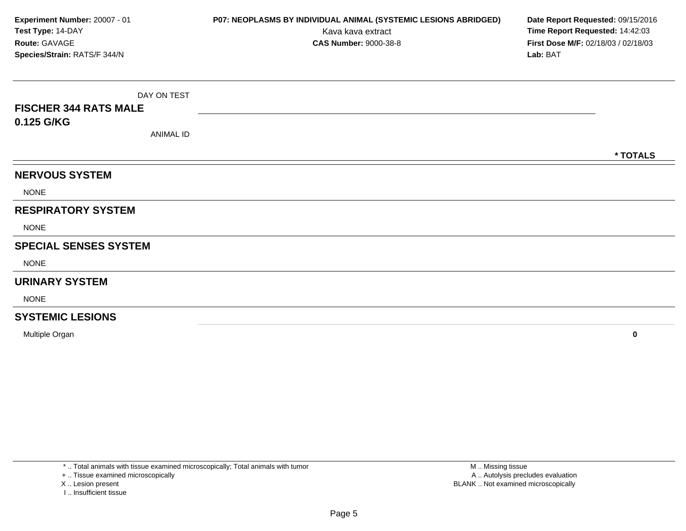| Experiment Number: 20007 - 01<br>Test Type: 14-DAY |                  | P07: NEOPLASMS BY INDIVIDUAL ANIMAL (SYSTEMIC LESIONS ABRIDGED)<br>Kava kava extract | Date Report Requested: 09/15/2016<br>Time Report Requested: 14:42:03 |          |  |
|----------------------------------------------------|------------------|--------------------------------------------------------------------------------------|----------------------------------------------------------------------|----------|--|
| Route: GAVAGE<br>Species/Strain: RATS/F 344/N      |                  | <b>CAS Number: 9000-38-8</b>                                                         | First Dose M/F: 02/18/03 / 02/18/03<br>Lab: BAT                      |          |  |
|                                                    |                  |                                                                                      |                                                                      |          |  |
|                                                    | DAY ON TEST      |                                                                                      |                                                                      |          |  |
| <b>FISCHER 344 RATS MALE</b>                       |                  |                                                                                      |                                                                      |          |  |
| 0.125 G/KG                                         |                  |                                                                                      |                                                                      |          |  |
|                                                    | <b>ANIMAL ID</b> |                                                                                      |                                                                      |          |  |
|                                                    |                  |                                                                                      |                                                                      | * TOTALS |  |
| <b>NERVOUS SYSTEM</b>                              |                  |                                                                                      |                                                                      |          |  |
| <b>NONE</b>                                        |                  |                                                                                      |                                                                      |          |  |
| <b>RESPIRATORY SYSTEM</b>                          |                  |                                                                                      |                                                                      |          |  |
| <b>NONE</b>                                        |                  |                                                                                      |                                                                      |          |  |
| <b>SPECIAL SENSES SYSTEM</b>                       |                  |                                                                                      |                                                                      |          |  |
| <b>NONE</b>                                        |                  |                                                                                      |                                                                      |          |  |
| <b>URINARY SYSTEM</b>                              |                  |                                                                                      |                                                                      |          |  |
| <b>NONE</b>                                        |                  |                                                                                      |                                                                      |          |  |
| <b>SYSTEMIC LESIONS</b>                            |                  |                                                                                      |                                                                      |          |  |

Multiple Organ**<sup>0</sup>**

\* .. Total animals with tissue examined microscopically; Total animals with tumor

+ .. Tissue examined microscopically

X .. Lesion present

I .. Insufficient tissue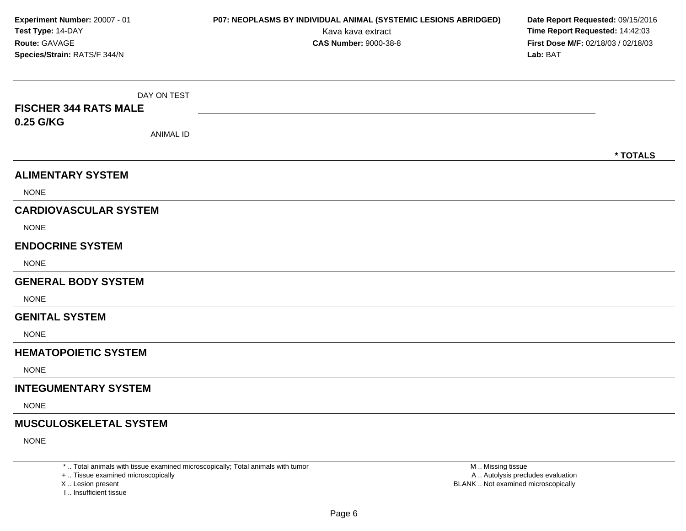| Experiment Number: 20007 - 01<br>Test Type: 14-DAY<br>Route: GAVAGE<br>Species/Strain: RATS/F 344/N | P07: NEOPLASMS BY INDIVIDUAL ANIMAL (SYSTEMIC LESIONS ABRIDGED)<br>Kava kava extract<br><b>CAS Number: 9000-38-8</b> | Date Report Requested: 09/15/2016<br>Time Report Requested: 14:42:03<br>First Dose M/F: 02/18/03 / 02/18/03<br>Lab: BAT |
|-----------------------------------------------------------------------------------------------------|----------------------------------------------------------------------------------------------------------------------|-------------------------------------------------------------------------------------------------------------------------|
| DAY ON TEST<br><b>FISCHER 344 RATS MALE</b><br>0.25 G/KG<br><b>ANIMAL ID</b>                        |                                                                                                                      |                                                                                                                         |
| <b>ALIMENTARY SYSTEM</b>                                                                            |                                                                                                                      | * TOTALS                                                                                                                |
| <b>NONE</b>                                                                                         |                                                                                                                      |                                                                                                                         |
| <b>CARDIOVASCULAR SYSTEM</b>                                                                        |                                                                                                                      |                                                                                                                         |
| <b>NONE</b>                                                                                         |                                                                                                                      |                                                                                                                         |
| <b>ENDOCRINE SYSTEM</b>                                                                             |                                                                                                                      |                                                                                                                         |
| <b>NONE</b>                                                                                         |                                                                                                                      |                                                                                                                         |
| <b>GENERAL BODY SYSTEM</b>                                                                          |                                                                                                                      |                                                                                                                         |
| <b>NONE</b>                                                                                         |                                                                                                                      |                                                                                                                         |
| <b>GENITAL SYSTEM</b>                                                                               |                                                                                                                      |                                                                                                                         |
| <b>NONE</b>                                                                                         |                                                                                                                      |                                                                                                                         |
| <b>HEMATOPOIETIC SYSTEM</b>                                                                         |                                                                                                                      |                                                                                                                         |
| <b>NONE</b>                                                                                         |                                                                                                                      |                                                                                                                         |
| <b>INTEGUMENTARY SYSTEM</b>                                                                         |                                                                                                                      |                                                                                                                         |
| <b>NONE</b>                                                                                         |                                                                                                                      |                                                                                                                         |
| <b>MUSCULOSKELETAL SYSTEM</b>                                                                       |                                                                                                                      |                                                                                                                         |
| <b>NONE</b>                                                                                         |                                                                                                                      |                                                                                                                         |

\* .. Total animals with tissue examined microscopically; Total animals with tumor

+ .. Tissue examined microscopically<br>X .. Lesion present

I .. Insufficient tissue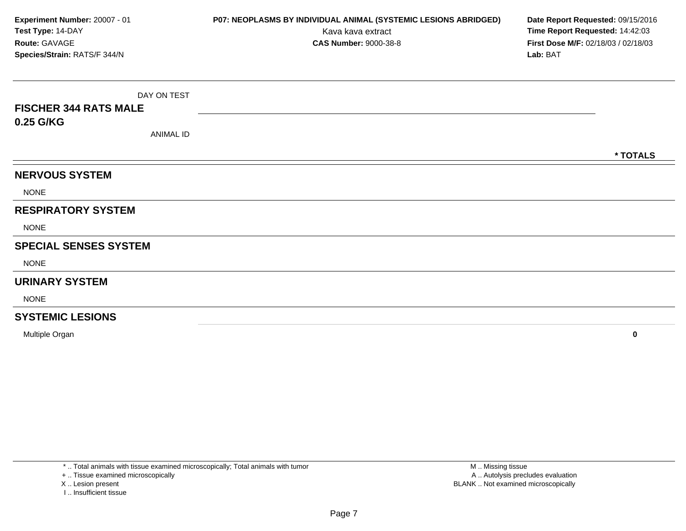| Experiment Number: 20007 - 01      |                  | P07: NEOPLASMS BY INDIVIDUAL ANIMAL (SYSTEMIC LESIONS ABRIDGED) | Date Report Requested: 09/15/2016                                      |
|------------------------------------|------------------|-----------------------------------------------------------------|------------------------------------------------------------------------|
| Test Type: 14-DAY<br>Route: GAVAGE |                  | Kava kava extract<br><b>CAS Number: 9000-38-8</b>               | Time Report Requested: 14:42:03<br>First Dose M/F: 02/18/03 / 02/18/03 |
| Species/Strain: RATS/F 344/N       |                  |                                                                 | Lab: BAT                                                               |
|                                    |                  |                                                                 |                                                                        |
|                                    | DAY ON TEST      |                                                                 |                                                                        |
| <b>FISCHER 344 RATS MALE</b>       |                  |                                                                 |                                                                        |
| 0.25 G/KG                          |                  |                                                                 |                                                                        |
|                                    | <b>ANIMAL ID</b> |                                                                 |                                                                        |
|                                    |                  |                                                                 | * TOTALS                                                               |
| <b>NERVOUS SYSTEM</b>              |                  |                                                                 |                                                                        |
| <b>NONE</b>                        |                  |                                                                 |                                                                        |
| <b>RESPIRATORY SYSTEM</b>          |                  |                                                                 |                                                                        |
| <b>NONE</b>                        |                  |                                                                 |                                                                        |
| <b>SPECIAL SENSES SYSTEM</b>       |                  |                                                                 |                                                                        |
| <b>NONE</b>                        |                  |                                                                 |                                                                        |
| <b>URINARY SYSTEM</b>              |                  |                                                                 |                                                                        |
| <b>NONE</b>                        |                  |                                                                 |                                                                        |
| <b>SYSTEMIC LESIONS</b>            |                  |                                                                 |                                                                        |

Multiple Organ**<sup>0</sup>**

\* .. Total animals with tissue examined microscopically; Total animals with tumor

+ .. Tissue examined microscopically

X .. Lesion present

I .. Insufficient tissue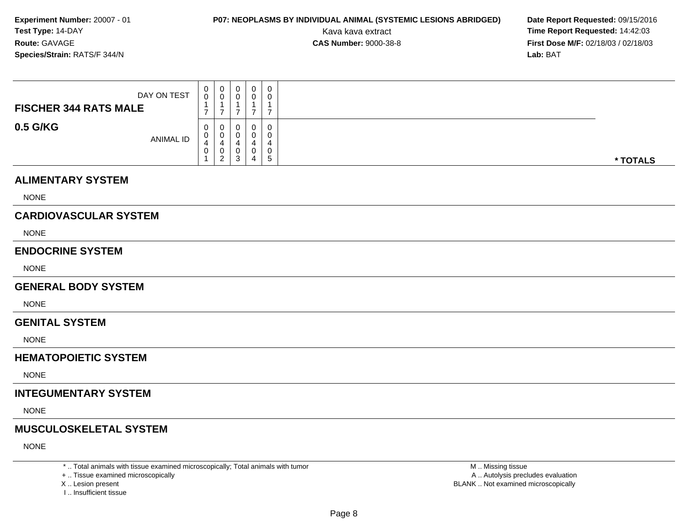# **P07: NEOPLASMS BY INDIVIDUAL ANIMAL (SYSTEMIC LESIONS ABRIDGED) Date Report Requested:** 09/15/2016

Kava kava extract **Time Report Requested:** 14:42:03<br>**CAS Number:** 9000-38-8 **Time Report Requested:** 14:42:03 **First Dose M/F:** 02/18/03 / 02/18/03<br>**Lab:** BAT **Lab:** BAT

| DAY ON TEST<br><b>FISCHER 344 RATS MALE</b> | U           | U<br>U                       | $\mathbf 0$ | 0<br>0      | 0 |          |
|---------------------------------------------|-------------|------------------------------|-------------|-------------|---|----------|
| 0.5 G/KG<br>ANIMAL ID                       | U<br>U<br>U | U<br>U<br>v<br>ີ<br><u>_</u> | 0<br>ు      | 0<br>0<br>0 | 5 | * TOTALS |

#### **ALIMENTARY SYSTEM**

NONE

### **CARDIOVASCULAR SYSTEM**

NONE

#### **ENDOCRINE SYSTEM**

NONE

#### **GENERAL BODY SYSTEM**

**NONE** 

#### **GENITAL SYSTEM**

NONE

### **HEMATOPOIETIC SYSTEM**

NONE

### **INTEGUMENTARY SYSTEM**

NONE

### **MUSCULOSKELETAL SYSTEM**

NONE

\* .. Total animals with tissue examined microscopically; Total animals with tumor

+ .. Tissue examined microscopically

- X .. Lesion present
- I .. Insufficient tissue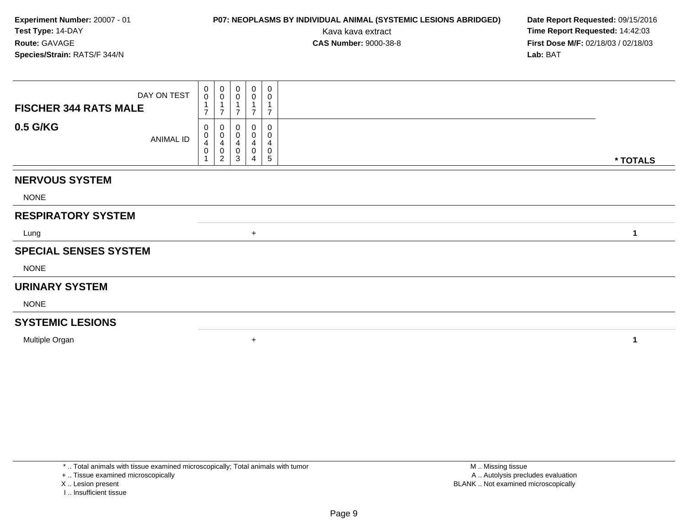# **P07: NEOPLASMS BY INDIVIDUAL ANIMAL (SYSTEMIC LESIONS ABRIDGED) Date Report Requested:** 09/15/2016

Kava kava extract **Time Report Requested:** 14:42:03<br>**CAS Number:** 9000-38-8 **Time Report Requested:** 14:42:03 **First Dose M/F:** 02/18/03 / 02/18/03<br>**Lab:** BAT **Lab:** BAT

| DAY ON TEST<br><b>FISCHER 344 RATS MALE</b> | 0<br>$\mathsf{O}\xspace$<br>$\overline{7}$ | $\pmb{0}$<br>$\mathbf 0$<br>1<br>$\overline{7}$ | $\boldsymbol{0}$<br>$\pmb{0}$<br>$\overline{7}$ | $\pmb{0}$<br>$\pmb{0}$<br>$\overline{7}$ | $\mathbf 0$<br>0<br>$\overline{7}$ |          |
|---------------------------------------------|--------------------------------------------|-------------------------------------------------|-------------------------------------------------|------------------------------------------|------------------------------------|----------|
| 0.5 G/KG<br>ANIMAL ID                       | 0<br>0<br>$\overline{\mathbf{4}}$<br>0     | 0<br>0<br>4<br>0<br>$\overline{c}$              | 0<br>0<br>4<br>0<br>3                           | 0<br>0<br>4<br>0<br>4                    | 0<br>0<br>4<br>0<br>5              | * TOTALS |
| <b>NERVOUS SYSTEM</b>                       |                                            |                                                 |                                                 |                                          |                                    |          |
| <b>NONE</b>                                 |                                            |                                                 |                                                 |                                          |                                    |          |
| <b>RESPIRATORY SYSTEM</b>                   |                                            |                                                 |                                                 |                                          |                                    |          |
| Lung                                        |                                            |                                                 |                                                 | $+$                                      |                                    | 1        |
| <b>SPECIAL SENSES SYSTEM</b>                |                                            |                                                 |                                                 |                                          |                                    |          |
| <b>NONE</b>                                 |                                            |                                                 |                                                 |                                          |                                    |          |
| <b>URINARY SYSTEM</b>                       |                                            |                                                 |                                                 |                                          |                                    |          |
| <b>NONE</b>                                 |                                            |                                                 |                                                 |                                          |                                    |          |
| <b>SYSTEMIC LESIONS</b>                     |                                            |                                                 |                                                 |                                          |                                    |          |
| Multiple Organ                              |                                            |                                                 |                                                 | $\ddot{}$                                |                                    | 1        |

\* .. Total animals with tissue examined microscopically; Total animals with tumor

+ .. Tissue examined microscopically

X .. Lesion present

I .. Insufficient tissue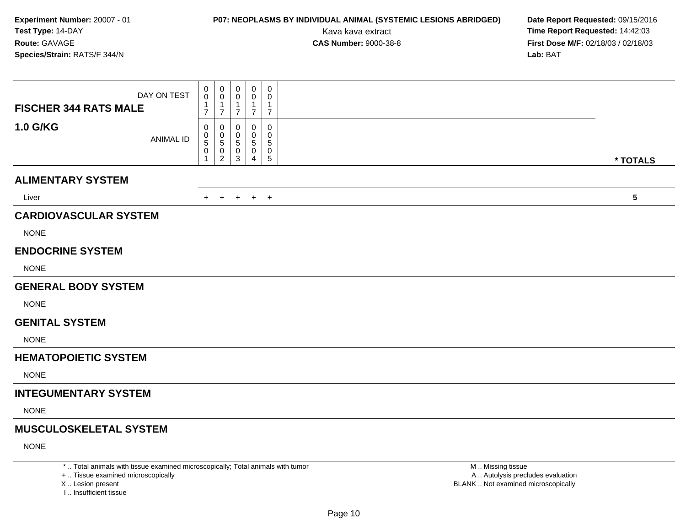# **P07: NEOPLASMS BY INDIVIDUAL ANIMAL (SYSTEMIC LESIONS ABRIDGED) Date Report Requested:** 09/15/2016

Kava kava extract **Time Report Requested:** 14:42:03<br>**CAS Number:** 9000-38-8 **Time Report Requested:** 14:42:03 **First Dose M/F:** 02/18/03 / 02/18/03<br>**Lab:** BAT **Lab:** BAT

| DAY ON TEST<br><b>FISCHER 344 RATS MALE</b> | 0<br>0<br>$\mathbf{1}$<br>$\overline{7}$ | $\boldsymbol{0}$<br>0<br>1<br>$\overline{7}$ | $\mathbf 0$<br>0<br>7 | $\mathbf 0$<br>0<br>$\mathbf{1}$<br>$\overline{7}$ | $\mathbf 0$<br>0<br>1<br>$\overline{7}$ |           |
|---------------------------------------------|------------------------------------------|----------------------------------------------|-----------------------|----------------------------------------------------|-----------------------------------------|-----------|
| <b>1.0 G/KG</b><br><b>ANIMAL ID</b>         | 0<br>$\pmb{0}$<br>5<br>0<br>1            | 0<br>0<br>5<br>0<br>$\overline{2}$           | 0<br>0<br>5<br>0<br>3 | 0<br>0<br>$\sqrt{5}$<br>0<br>4                     | 0<br>0<br>$\sqrt{5}$<br>0<br>5          | * TOTALS  |
| <b>ALIMENTARY SYSTEM</b>                    |                                          |                                              |                       |                                                    |                                         |           |
| Liver                                       | $+$                                      | $+$                                          | $+$                   | $+$ $+$                                            |                                         | ${\bf 5}$ |
| <b>CARDIOVASCULAR SYSTEM</b>                |                                          |                                              |                       |                                                    |                                         |           |
| <b>NONE</b>                                 |                                          |                                              |                       |                                                    |                                         |           |
| <b>ENDOCRINE SYSTEM</b>                     |                                          |                                              |                       |                                                    |                                         |           |
| <b>NONE</b>                                 |                                          |                                              |                       |                                                    |                                         |           |
| <b>GENERAL BODY SYSTEM</b>                  |                                          |                                              |                       |                                                    |                                         |           |
| <b>NONE</b>                                 |                                          |                                              |                       |                                                    |                                         |           |
| <b>GENITAL SYSTEM</b>                       |                                          |                                              |                       |                                                    |                                         |           |
| <b>NONE</b>                                 |                                          |                                              |                       |                                                    |                                         |           |
| <b>HEMATOPOIETIC SYSTEM</b>                 |                                          |                                              |                       |                                                    |                                         |           |
| <b>NONE</b>                                 |                                          |                                              |                       |                                                    |                                         |           |
| <b>INTEGUMENTARY SYSTEM</b>                 |                                          |                                              |                       |                                                    |                                         |           |
| <b>NONE</b>                                 |                                          |                                              |                       |                                                    |                                         |           |
| <b>MUSCULOSKELETAL SYSTEM</b>               |                                          |                                              |                       |                                                    |                                         |           |
| <b>NONE</b>                                 |                                          |                                              |                       |                                                    |                                         |           |
|                                             |                                          |                                              |                       |                                                    |                                         |           |

\* .. Total animals with tissue examined microscopically; Total animals with tumor

+ .. Tissue examined microscopically

X .. Lesion present

I .. Insufficient tissue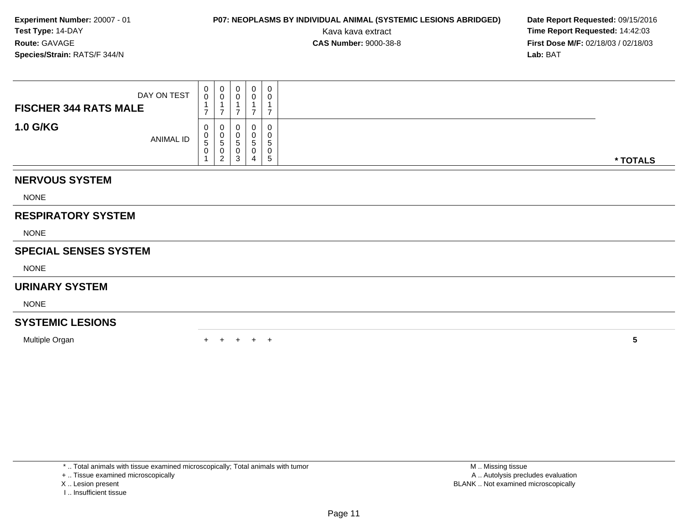# **P07: NEOPLASMS BY INDIVIDUAL ANIMAL (SYSTEMIC LESIONS ABRIDGED) Date Report Requested:** 09/15/2016

Kava kava extract **Time Report Requested:** 14:42:03<br>**CAS Number:** 9000-38-8 **Time Report Requested:** 14:42:03 **First Dose M/F:** 02/18/03 / 02/18/03<br>**Lab:** BAT **Lab:** BAT

| DAY ON TEST<br><b>FISCHER 344 RATS MALE</b> | $\begin{smallmatrix}0\0\0\end{smallmatrix}$<br>1<br>$\overline{ }$ | $\mathbf 0$<br>$\pmb{0}$<br>1<br>$\overline{ }$ | 0<br>$\mathbf 0$<br>⇁ | $\mathbf 0$<br>0<br>$\overline{ }$ | $\boldsymbol{0}$<br>0<br>4<br>⇁ |                 |
|---------------------------------------------|--------------------------------------------------------------------|-------------------------------------------------|-----------------------|------------------------------------|---------------------------------|-----------------|
| <b>1.0 G/KG</b><br>ANIMAL ID                | 0<br>$\pmb{0}$<br>$\,$ 5 $\,$<br>0<br>1                            | 0<br>0<br>5<br>0<br>$\overline{c}$              | 0<br>0<br>5<br>0<br>3 | 0<br>5<br>0<br>4                   | $\mathbf 0$<br>0<br>5<br>0<br>5 | * TOTALS        |
| <b>NERVOUS SYSTEM</b>                       |                                                                    |                                                 |                       |                                    |                                 |                 |
| <b>NONE</b>                                 |                                                                    |                                                 |                       |                                    |                                 |                 |
| <b>RESPIRATORY SYSTEM</b>                   |                                                                    |                                                 |                       |                                    |                                 |                 |
| <b>NONE</b>                                 |                                                                    |                                                 |                       |                                    |                                 |                 |
| <b>SPECIAL SENSES SYSTEM</b>                |                                                                    |                                                 |                       |                                    |                                 |                 |
| <b>NONE</b>                                 |                                                                    |                                                 |                       |                                    |                                 |                 |
| <b>URINARY SYSTEM</b>                       |                                                                    |                                                 |                       |                                    |                                 |                 |
| <b>NONE</b>                                 |                                                                    |                                                 |                       |                                    |                                 |                 |
| <b>SYSTEMIC LESIONS</b>                     |                                                                    |                                                 |                       |                                    |                                 |                 |
| Multiple Organ                              |                                                                    |                                                 |                       | $+$                                | $\overline{1}$                  | $5\phantom{.0}$ |

- X .. Lesion present
- I .. Insufficient tissue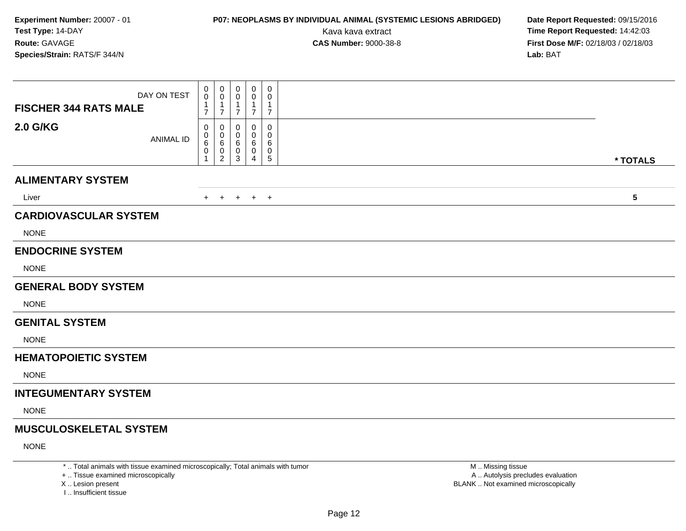# **P07: NEOPLASMS BY INDIVIDUAL ANIMAL (SYSTEMIC LESIONS ABRIDGED) Date Report Requested:** 09/15/2016

Kava kava extract **Time Report Requested:** 14:42:03<br>**CAS Number:** 9000-38-8 **Time Report Requested:** 14:42:03 **First Dose M/F:** 02/18/03 / 02/18/03<br>**Lab:** BAT **Lab:** BAT

| DAY ON TEST<br><b>FISCHER 344 RATS MALE</b> | 0<br>$\mathsf{O}\xspace$<br>$\mathbf{1}$<br>$\overline{7}$ | $\mathbf 0$<br>0<br>1<br>$\overline{7}$ | 0<br>$\overline{7}$   | 0<br>0<br>-1<br>$\overline{7}$  | 0<br>0<br>$\mathbf{1}$<br>$\overline{7}$ |            |
|---------------------------------------------|------------------------------------------------------------|-----------------------------------------|-----------------------|---------------------------------|------------------------------------------|------------|
| <b>2.0 G/KG</b><br><b>ANIMAL ID</b>         | 0<br>0<br>6<br>0<br>1                                      | 0<br>0<br>6<br>0<br>2                   | 0<br>0<br>6<br>0<br>3 | $\mathbf 0$<br>0<br>6<br>0<br>4 | 0<br>$\Omega$<br>6<br>0<br>$\sqrt{5}$    | * TOTALS   |
| <b>ALIMENTARY SYSTEM</b>                    |                                                            |                                         |                       |                                 |                                          |            |
| Liver                                       | $+$                                                        | $+$                                     | $+$                   | $+$ $+$                         |                                          | $\sqrt{5}$ |
| <b>CARDIOVASCULAR SYSTEM</b>                |                                                            |                                         |                       |                                 |                                          |            |
| <b>NONE</b>                                 |                                                            |                                         |                       |                                 |                                          |            |
| <b>ENDOCRINE SYSTEM</b>                     |                                                            |                                         |                       |                                 |                                          |            |
| <b>NONE</b>                                 |                                                            |                                         |                       |                                 |                                          |            |
| <b>GENERAL BODY SYSTEM</b>                  |                                                            |                                         |                       |                                 |                                          |            |
| <b>NONE</b>                                 |                                                            |                                         |                       |                                 |                                          |            |
| <b>GENITAL SYSTEM</b>                       |                                                            |                                         |                       |                                 |                                          |            |
| <b>NONE</b>                                 |                                                            |                                         |                       |                                 |                                          |            |
| <b>HEMATOPOIETIC SYSTEM</b>                 |                                                            |                                         |                       |                                 |                                          |            |
| <b>NONE</b>                                 |                                                            |                                         |                       |                                 |                                          |            |
| <b>INTEGUMENTARY SYSTEM</b>                 |                                                            |                                         |                       |                                 |                                          |            |
| <b>NONE</b>                                 |                                                            |                                         |                       |                                 |                                          |            |
| <b>MUSCULOSKELETAL SYSTEM</b>               |                                                            |                                         |                       |                                 |                                          |            |
| <b>NONE</b>                                 |                                                            |                                         |                       |                                 |                                          |            |
|                                             |                                                            |                                         |                       |                                 |                                          |            |

\* .. Total animals with tissue examined microscopically; Total animals with tumor

+ .. Tissue examined microscopically

X .. Lesion present

I .. Insufficient tissue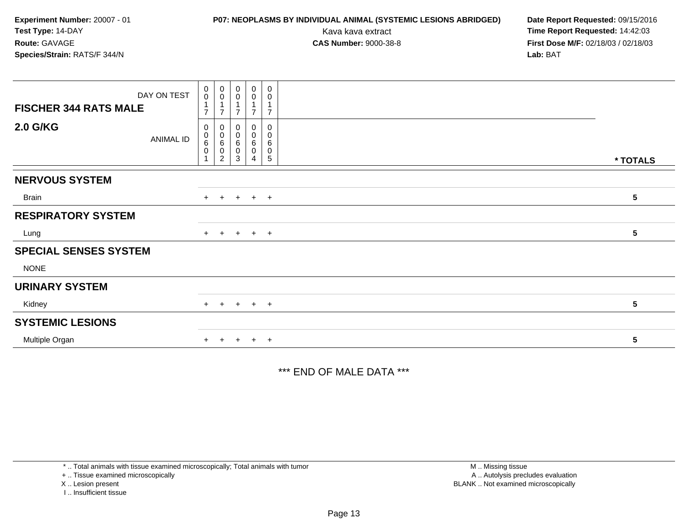DAY ON TEST**FISCHER 344 RATS MALE**0 0 1 70 0 1 70 0 1 70 0 1 70 0 1 7**2.0 G/KG**ANIMAL ID0 0 6 0 10 0 6 0 20 0 6 0 30 0 6 0 4 $\Omega$  0 6 0 5 **\* TOTALSNERVOUS SYSTEM**Brainn  $+$  <sup>+</sup> <sup>+</sup> <sup>+</sup> <sup>+</sup> **<sup>5</sup> RESPIRATORY SYSTEM**Lung $9 +$  <sup>+</sup> <sup>+</sup> <sup>+</sup> <sup>+</sup> **<sup>5</sup> SPECIAL SENSES SYSTEM**NONE**URINARY SYSTEM**Kidney $\mathsf y$  <sup>+</sup> <sup>+</sup> <sup>+</sup> <sup>+</sup> **<sup>5</sup> SYSTEMIC LESIONS**Multiple Organn  $+$  <sup>+</sup> <sup>+</sup> <sup>+</sup> <sup>+</sup> **<sup>5</sup> Experiment Number:** 20007 - 01 **P07: NEOPLASMS BY INDIVIDUAL ANIMAL (SYSTEMIC LESIONS ABRIDGED) Date Report Requested:** 09/15/2016 **Test Type:** 14-DAYKava kava extract **Time Report Requested:** 14:42:03<br>**CAS Number:** 9000-38-8 **Time Report Requested:** 14:42:03 **Route:** GAVAGE**First Dose M/F:** 02/18/03 / 02/18/03<br>**Lab:** BAT **Species/Strain:** RATS/F 344/N**Lab:** BAT

\*\*\* END OF MALE DATA \*\*\*

\* .. Total animals with tissue examined microscopically; Total animals with tumor

+ .. Tissue examined microscopically

X .. Lesion present

I .. Insufficient tissue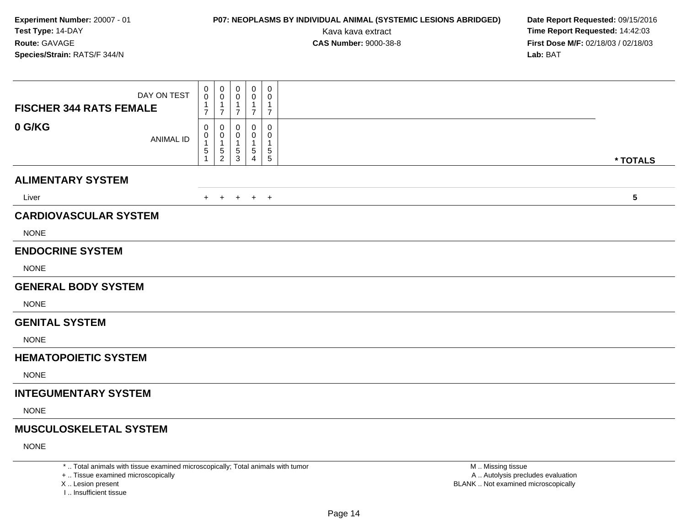# **P07: NEOPLASMS BY INDIVIDUAL ANIMAL (SYSTEMIC LESIONS ABRIDGED) Date Report Requested:** 09/15/2016

Kava kava extract **Time Report Requested:** 14:42:03<br>**CAS Number:** 9000-38-8 **Time Report Requested:** 14:42:03 **First Dose M/F:** 02/18/03 / 02/18/03<br>**Lab:** BAT **Lab:** BAT

| DAY ON TEST<br><b>FISCHER 344 RATS FEMALE</b> | 0<br>0<br>$\mathbf 1$<br>$\overline{7}$ | 0<br>0<br>1<br>$\overline{7}$             | 0<br>0<br>-1<br>$\overline{7}$ | $\pmb{0}$<br>0<br>$\overline{7}$ | $\mathbf 0$<br>0<br>-1<br>$\overline{7}$            |            |
|-----------------------------------------------|-----------------------------------------|-------------------------------------------|--------------------------------|----------------------------------|-----------------------------------------------------|------------|
| 0 G/KG<br><b>ANIMAL ID</b>                    | 0<br>0<br>$\mathbf 1$<br>5              | $\Omega$<br>0<br>1<br>5<br>$\overline{c}$ | 0<br>5<br>3                    | 0<br>0<br>$\,$ 5 $\,$<br>4       | 0<br>$\mathbf 0$<br>-1<br>$\sqrt{5}$<br>$\,$ 5 $\,$ | * TOTALS   |
| <b>ALIMENTARY SYSTEM</b>                      |                                         |                                           |                                |                                  |                                                     |            |
| Liver                                         | $+$                                     | $+$                                       | $^{+}$                         | $+$                              | $+$                                                 | $\sqrt{5}$ |
| <b>CARDIOVASCULAR SYSTEM</b>                  |                                         |                                           |                                |                                  |                                                     |            |
| <b>NONE</b>                                   |                                         |                                           |                                |                                  |                                                     |            |
| <b>ENDOCRINE SYSTEM</b>                       |                                         |                                           |                                |                                  |                                                     |            |
| <b>NONE</b>                                   |                                         |                                           |                                |                                  |                                                     |            |
| <b>GENERAL BODY SYSTEM</b>                    |                                         |                                           |                                |                                  |                                                     |            |
| <b>NONE</b>                                   |                                         |                                           |                                |                                  |                                                     |            |
| <b>GENITAL SYSTEM</b>                         |                                         |                                           |                                |                                  |                                                     |            |
| <b>NONE</b>                                   |                                         |                                           |                                |                                  |                                                     |            |
| <b>HEMATOPOIETIC SYSTEM</b>                   |                                         |                                           |                                |                                  |                                                     |            |
| <b>NONE</b>                                   |                                         |                                           |                                |                                  |                                                     |            |
| <b>INTEGUMENTARY SYSTEM</b>                   |                                         |                                           |                                |                                  |                                                     |            |
| <b>NONE</b>                                   |                                         |                                           |                                |                                  |                                                     |            |
| <b>MUSCULOSKELETAL SYSTEM</b>                 |                                         |                                           |                                |                                  |                                                     |            |
| <b>NONE</b>                                   |                                         |                                           |                                |                                  |                                                     |            |

\* .. Total animals with tissue examined microscopically; Total animals with tumor

+ .. Tissue examined microscopically

X .. Lesion present

I .. Insufficient tissue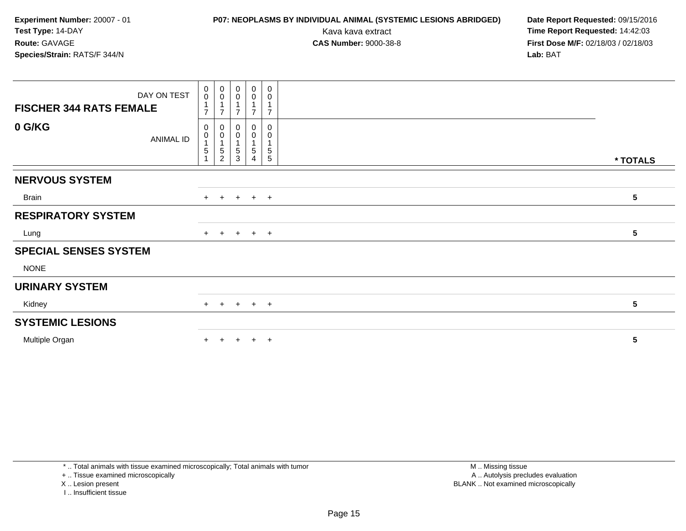DAY ON TEST**FISCHER 344 RATS FEMALE**0 0 1 70 0 1 70 0 1 70 0 1 70 0 1 7**0 G/KG**ANIMAL ID0 0 1 5 10 0 1 5 20 0 1 5 30 0 1 5 40 0 1 5 5 **\* TOTALSNERVOUS SYSTEM**Brainn  $+$  <sup>+</sup> <sup>+</sup> <sup>+</sup> <sup>+</sup> **<sup>5</sup> RESPIRATORY SYSTEMExperiment Number:** 20007 - 01 **P07: NEOPLASMS BY INDIVIDUAL ANIMAL (SYSTEMIC LESIONS ABRIDGED) Date Report Requested:** 09/15/2016 **Test Type:** 14-DAYKava kava extract **Time Report Requested:** 14:42:03<br>**CAS Number:** 9000-38-8 **Time Report Requested:** 14:42:03 **Route:** GAVAGE**First Dose M/F:** 02/18/03 / 02/18/03<br>**Lab:** BAT **Species/Strain:** RATS/F 344/N**Lab:** BAT

Lung $9 +$ 

#### **SPECIAL SENSES SYSTEM**

NONE

#### **URINARY SYSTEM**

Kidney $\mathsf y$ 

### **SYSTEMIC LESIONS**

Multiple Organ

n  $+$ <sup>+</sup> <sup>+</sup> <sup>+</sup> <sup>+</sup> **<sup>5</sup>**

\* .. Total animals with tissue examined microscopically; Total animals with tumor

+ .. Tissue examined microscopically

X .. Lesion present

I .. Insufficient tissue

 M .. Missing tissuey the contract of the contract of the contract of the contract of the contract of the contract of the contract of  $A$ . Autolysis precludes evaluation Lesion present BLANK .. Not examined microscopically

<sup>+</sup> <sup>+</sup> <sup>+</sup> <sup>+</sup> **<sup>5</sup>**

<sup>+</sup> <sup>+</sup> <sup>+</sup> <sup>+</sup> **<sup>5</sup>**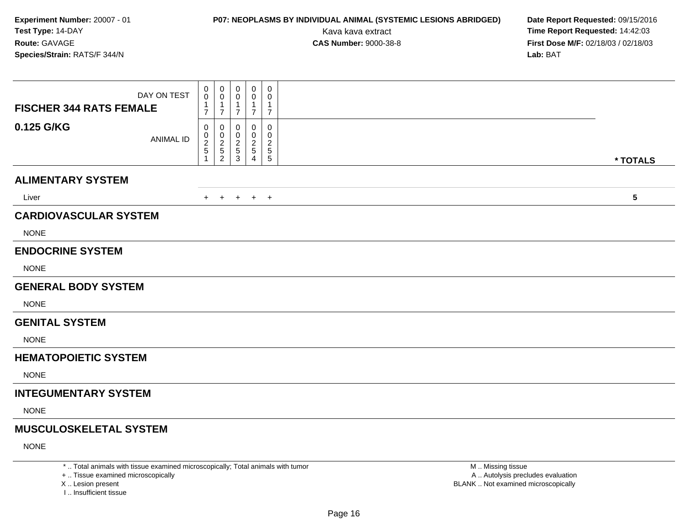# **P07: NEOPLASMS BY INDIVIDUAL ANIMAL (SYSTEMIC LESIONS ABRIDGED) Date Report Requested:** 09/15/2016

Kava kava extract **Time Report Requested:** 14:42:03<br>**CAS Number:** 9000-38-8 **Time Report Requested:** 14:42:03 **First Dose M/F:** 02/18/03 / 02/18/03<br>**Lab:** BAT **Lab:** BAT

| DAY ON TEST<br><b>FISCHER 344 RATS FEMALE</b> |                  | 0<br>0<br>0<br>0<br>$\mathbf{1}$<br>1<br>$\overline{7}$<br>$\overline{7}$                                 | 0<br>0<br>-1<br>$\overline{7}$        | $\mathbf 0$<br>0<br>1<br>$\overline{7}$     | 0<br>0<br>1<br>$\overline{7}$               |                 |
|-----------------------------------------------|------------------|-----------------------------------------------------------------------------------------------------------|---------------------------------------|---------------------------------------------|---------------------------------------------|-----------------|
| 0.125 G/KG                                    | <b>ANIMAL ID</b> | 0<br>0<br>$\frac{0}{2}$<br>$\begin{array}{c} 0 \\ 2 \\ 5 \end{array}$<br>$\overline{2}$<br>$\overline{1}$ | 0<br>$\frac{0}{2}$<br>$\sqrt{5}$<br>3 | 0<br>0<br>$\overline{c}$<br>$\sqrt{5}$<br>4 | 0<br>0<br>$\overline{\mathbf{c}}$<br>5<br>5 | * TOTALS        |
| <b>ALIMENTARY SYSTEM</b>                      |                  |                                                                                                           |                                       |                                             |                                             |                 |
| Liver                                         |                  |                                                                                                           |                                       |                                             |                                             | $5\phantom{.0}$ |
|                                               |                  | $+$<br>$+$                                                                                                |                                       | $+$ $+$ $+$                                 |                                             |                 |
| <b>CARDIOVASCULAR SYSTEM</b>                  |                  |                                                                                                           |                                       |                                             |                                             |                 |
| <b>NONE</b>                                   |                  |                                                                                                           |                                       |                                             |                                             |                 |
| <b>ENDOCRINE SYSTEM</b>                       |                  |                                                                                                           |                                       |                                             |                                             |                 |
| <b>NONE</b>                                   |                  |                                                                                                           |                                       |                                             |                                             |                 |
| <b>GENERAL BODY SYSTEM</b>                    |                  |                                                                                                           |                                       |                                             |                                             |                 |
| <b>NONE</b>                                   |                  |                                                                                                           |                                       |                                             |                                             |                 |
| <b>GENITAL SYSTEM</b>                         |                  |                                                                                                           |                                       |                                             |                                             |                 |
| <b>NONE</b>                                   |                  |                                                                                                           |                                       |                                             |                                             |                 |
| <b>HEMATOPOIETIC SYSTEM</b>                   |                  |                                                                                                           |                                       |                                             |                                             |                 |
| <b>NONE</b>                                   |                  |                                                                                                           |                                       |                                             |                                             |                 |
| <b>INTEGUMENTARY SYSTEM</b>                   |                  |                                                                                                           |                                       |                                             |                                             |                 |
| <b>NONE</b>                                   |                  |                                                                                                           |                                       |                                             |                                             |                 |
| <b>MUSCULOSKELETAL SYSTEM</b>                 |                  |                                                                                                           |                                       |                                             |                                             |                 |
| <b>NONE</b>                                   |                  |                                                                                                           |                                       |                                             |                                             |                 |
|                                               |                  |                                                                                                           |                                       |                                             |                                             |                 |

\* .. Total animals with tissue examined microscopically; Total animals with tumor

+ .. Tissue examined microscopically

X .. Lesion present

I .. Insufficient tissue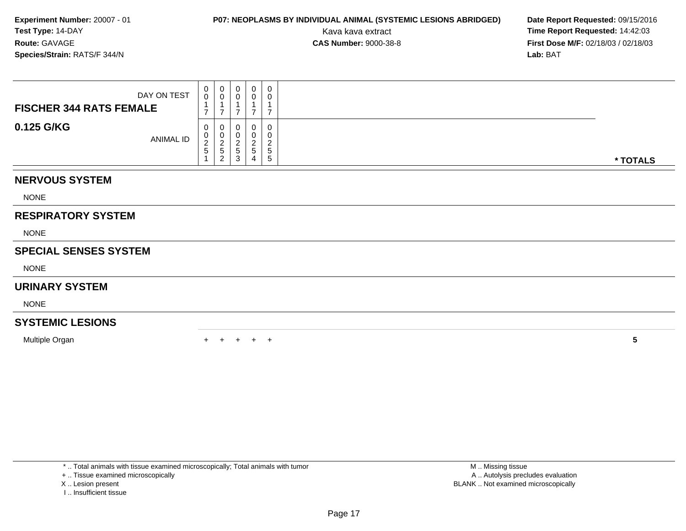# **P07: NEOPLASMS BY INDIVIDUAL ANIMAL (SYSTEMIC LESIONS ABRIDGED) Date Report Requested:** 09/15/2016

Kava kava extract **Time Report Requested:** 14:42:03<br>**CAS Number:** 9000-38-8 **Time Report Requested:** 14:42:03 **First Dose M/F:** 02/18/03 / 02/18/03<br>**Lab:** BAT **Lab:** BAT

| DAY ON TEST<br><b>FISCHER 344 RATS FEMALE</b> | 0<br>$\mathbf 0$<br>$\overline{\phantom{a}}$ | 0<br>$\ddot{\mathbf{0}}$<br>$\mathbf{1}$<br>$\overline{7}$ | 0<br>0<br>$\overline{ }$           | $\pmb{0}$<br>0<br>1<br>$\overline{7}$                    | $\pmb{0}$<br>0<br>$\overline{ }$            |          |
|-----------------------------------------------|----------------------------------------------|------------------------------------------------------------|------------------------------------|----------------------------------------------------------|---------------------------------------------|----------|
| 0.125 G/KG<br>ANIMAL ID                       | 0<br>0<br>$\frac{2}{5}$                      | 0<br>$\,0\,$<br>$\frac{2}{5}$<br>$\overline{2}$            | 0<br>0<br>$\overline{c}$<br>5<br>3 | 0<br>0<br>$\overline{c}$<br>$\sqrt{5}$<br>$\overline{4}$ | 0<br>0<br>$\overline{2}$<br>$\sqrt{5}$<br>5 | * TOTALS |
| <b>NERVOUS SYSTEM</b>                         |                                              |                                                            |                                    |                                                          |                                             |          |
| <b>NONE</b>                                   |                                              |                                                            |                                    |                                                          |                                             |          |
| <b>RESPIRATORY SYSTEM</b>                     |                                              |                                                            |                                    |                                                          |                                             |          |
| <b>NONE</b>                                   |                                              |                                                            |                                    |                                                          |                                             |          |
| <b>SPECIAL SENSES SYSTEM</b>                  |                                              |                                                            |                                    |                                                          |                                             |          |
| <b>NONE</b>                                   |                                              |                                                            |                                    |                                                          |                                             |          |
| <b>URINARY SYSTEM</b>                         |                                              |                                                            |                                    |                                                          |                                             |          |
| <b>NONE</b>                                   |                                              |                                                            |                                    |                                                          |                                             |          |
| <b>SYSTEMIC LESIONS</b>                       |                                              |                                                            |                                    |                                                          |                                             |          |
| Multiple Organ                                |                                              |                                                            |                                    | $+$                                                      | $^+$                                        | 5        |

\* .. Total animals with tissue examined microscopically; Total animals with tumor

+ .. Tissue examined microscopically

- X .. Lesion present
- I .. Insufficient tissue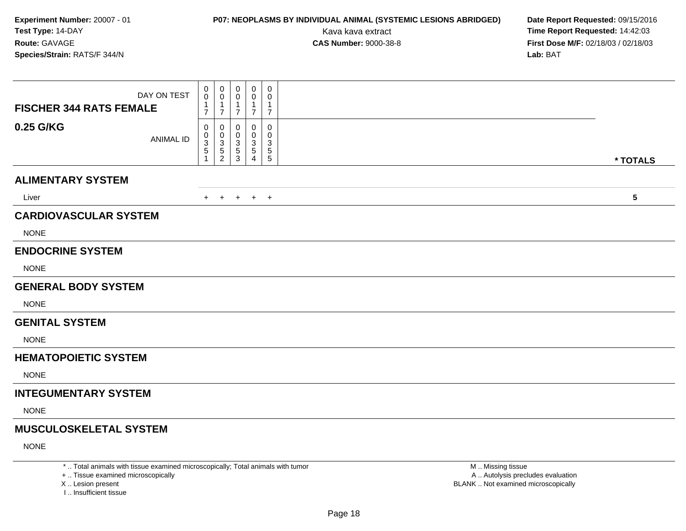# **P07: NEOPLASMS BY INDIVIDUAL ANIMAL (SYSTEMIC LESIONS ABRIDGED) Date Report Requested:** 09/15/2016

Kava kava extract **Time Report Requested:** 14:42:03<br>**CAS Number:** 9000-38-8 **Time Report Requested:** 14:42:03 **First Dose M/F:** 02/18/03 / 02/18/03<br>**Lab:** BAT **Lab:** BAT

| DAY ON TEST<br><b>FISCHER 344 RATS FEMALE</b> | 0<br>$\mathbf 0$<br>-1<br>$\overline{7}$ | 0<br>$\pmb{0}$<br>$\overline{7}$                    | 0<br>0<br>$\overline{7}$                      | 0<br>0<br>1<br>$\overline{7}$                           | 0<br>0<br>$\mathbf{1}$<br>$\overline{7}$                       |                         |
|-----------------------------------------------|------------------------------------------|-----------------------------------------------------|-----------------------------------------------|---------------------------------------------------------|----------------------------------------------------------------|-------------------------|
| 0.25 G/KG<br><b>ANIMAL ID</b>                 | 0<br>0<br>$\ensuremath{\mathsf{3}}$<br>5 | 0<br>$\mathbf 0$<br>$\frac{3}{5}$<br>$\overline{c}$ | 0<br>0<br>$\mathbf{3}$<br>$\overline{5}$<br>3 | 0<br>$\mathbf 0$<br>$\ensuremath{\mathsf{3}}$<br>5<br>Δ | 0<br>$\mathbf 0$<br>$\sqrt{3}$<br>$\sqrt{5}$<br>$\overline{5}$ | * TOTALS                |
|                                               |                                          |                                                     |                                               |                                                         |                                                                |                         |
| <b>ALIMENTARY SYSTEM</b>                      |                                          |                                                     |                                               |                                                         |                                                                |                         |
| Liver                                         | $+$                                      | $+$                                                 | $+$                                           | $+$ $+$                                                 |                                                                | $\overline{\mathbf{5}}$ |
| <b>CARDIOVASCULAR SYSTEM</b>                  |                                          |                                                     |                                               |                                                         |                                                                |                         |
| <b>NONE</b>                                   |                                          |                                                     |                                               |                                                         |                                                                |                         |
| <b>ENDOCRINE SYSTEM</b>                       |                                          |                                                     |                                               |                                                         |                                                                |                         |
| <b>NONE</b>                                   |                                          |                                                     |                                               |                                                         |                                                                |                         |
| <b>GENERAL BODY SYSTEM</b>                    |                                          |                                                     |                                               |                                                         |                                                                |                         |
| <b>NONE</b>                                   |                                          |                                                     |                                               |                                                         |                                                                |                         |
| <b>GENITAL SYSTEM</b>                         |                                          |                                                     |                                               |                                                         |                                                                |                         |
| <b>NONE</b>                                   |                                          |                                                     |                                               |                                                         |                                                                |                         |
| <b>HEMATOPOIETIC SYSTEM</b>                   |                                          |                                                     |                                               |                                                         |                                                                |                         |
| <b>NONE</b>                                   |                                          |                                                     |                                               |                                                         |                                                                |                         |
| <b>INTEGUMENTARY SYSTEM</b>                   |                                          |                                                     |                                               |                                                         |                                                                |                         |
| <b>NONE</b>                                   |                                          |                                                     |                                               |                                                         |                                                                |                         |
| <b>MUSCULOSKELETAL SYSTEM</b>                 |                                          |                                                     |                                               |                                                         |                                                                |                         |
| <b>NONE</b>                                   |                                          |                                                     |                                               |                                                         |                                                                |                         |
|                                               |                                          |                                                     |                                               |                                                         |                                                                |                         |

\* .. Total animals with tissue examined microscopically; Total animals with tumor

+ .. Tissue examined microscopically

X .. Lesion present

I .. Insufficient tissue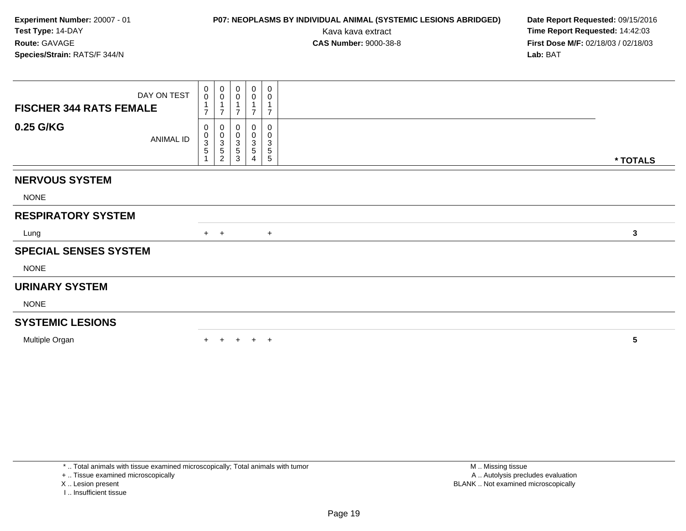# **P07: NEOPLASMS BY INDIVIDUAL ANIMAL (SYSTEMIC LESIONS ABRIDGED) Date Report Requested:** 09/15/2016

Kava kava extract **Time Report Requested:** 14:42:03<br>**CAS Number:** 9000-38-8 **Time Report Requested:** 14:42:03 **First Dose M/F:** 02/18/03 / 02/18/03<br>**Lab:** BAT **Lab:** BAT

| DAY ON TEST<br><b>FISCHER 344 RATS FEMALE</b> | $_{\rm 0}^{\rm 0}$                       | $\begin{smallmatrix} 0\\0 \end{smallmatrix}$<br>$\overline{7}$ | $_{\rm 0}^{\rm 0}$<br>$\overline{7}$ | 0<br>$\mathbf 0$<br>7 | 0<br>0<br>7                                            |              |
|-----------------------------------------------|------------------------------------------|----------------------------------------------------------------|--------------------------------------|-----------------------|--------------------------------------------------------|--------------|
| 0.25 G/KG<br>ANIMAL ID                        | 0<br>$\begin{matrix}0\\3\\5\end{matrix}$ | 0<br>$_{3}^{\rm 0}$<br>$\sqrt{5}$<br>$\overline{\mathbf{c}}$   | 0<br>0<br>3<br>5<br>3                | 0<br>0<br>3<br>5<br>4 | 0<br>0<br>$\ensuremath{\mathsf{3}}$<br>$\sqrt{5}$<br>5 | * TOTALS     |
| <b>NERVOUS SYSTEM</b>                         |                                          |                                                                |                                      |                       |                                                        |              |
| <b>NONE</b>                                   |                                          |                                                                |                                      |                       |                                                        |              |
| <b>RESPIRATORY SYSTEM</b>                     |                                          |                                                                |                                      |                       |                                                        |              |
| Lung                                          |                                          | $+$ $+$                                                        |                                      |                       | $+$                                                    | $\mathbf{3}$ |
| <b>SPECIAL SENSES SYSTEM</b>                  |                                          |                                                                |                                      |                       |                                                        |              |
| <b>NONE</b>                                   |                                          |                                                                |                                      |                       |                                                        |              |
| <b>URINARY SYSTEM</b>                         |                                          |                                                                |                                      |                       |                                                        |              |
| <b>NONE</b>                                   |                                          |                                                                |                                      |                       |                                                        |              |
| <b>SYSTEMIC LESIONS</b>                       |                                          |                                                                |                                      |                       |                                                        |              |
| Multiple Organ                                | $+$                                      | $+$                                                            |                                      | $+$ $+$ $+$           |                                                        | 5            |

\* .. Total animals with tissue examined microscopically; Total animals with tumor

+ .. Tissue examined microscopically

X .. Lesion present

I .. Insufficient tissue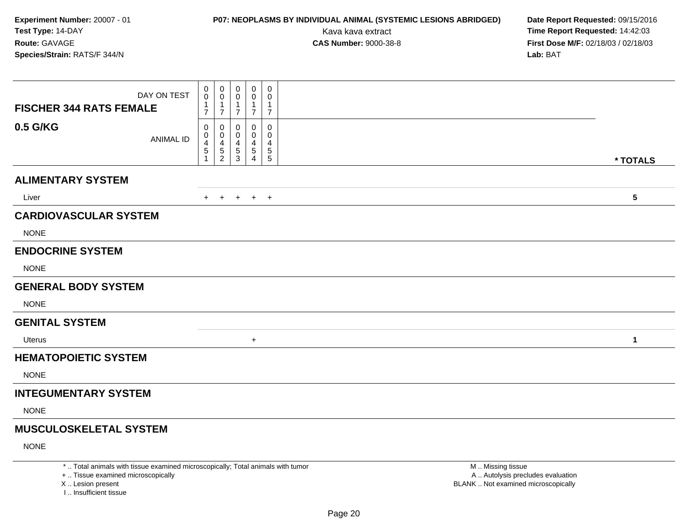# **P07: NEOPLASMS BY INDIVIDUAL ANIMAL (SYSTEMIC LESIONS ABRIDGED) Date Report Requested:** 09/15/2016

Kava kava extract **Time Report Requested:** 14:42:03<br>**CAS Number:** 9000-38-8 **Time Report Requested:** 14:42:03 **First Dose M/F:** 02/18/03 / 02/18/03<br>**Lab:** BAT **Lab:** BAT

|                                               | 0                 | 0                        | 0                 | 0                 | $\mathbf 0$                 |                 |
|-----------------------------------------------|-------------------|--------------------------|-------------------|-------------------|-----------------------------|-----------------|
| DAY ON TEST<br><b>FISCHER 344 RATS FEMALE</b> | $\mathbf 0$<br>-1 | 0<br>1                   | 0<br>$\mathbf{1}$ | 0<br>$\mathbf{1}$ | $\mathbf 0$<br>$\mathbf{1}$ |                 |
|                                               | $\overline{7}$    | $\overline{7}$           | 7                 | $\overline{7}$    | $\overline{7}$              |                 |
| 0.5 G/KG<br><b>ANIMAL ID</b>                  | 0<br>0            | 0<br>0                   | 0<br>0            | 0<br>0            | 0<br>0                      |                 |
|                                               | 4<br>5            | 4<br>5<br>$\overline{c}$ | 4<br>5<br>3       | 4<br>5<br>4       | 4<br>$\frac{5}{5}$          |                 |
|                                               |                   |                          |                   |                   |                             | * TOTALS        |
| <b>ALIMENTARY SYSTEM</b>                      |                   |                          |                   |                   |                             |                 |
| Liver                                         | $+$               | $+$                      |                   | $+$ $+$ $+$       |                             | $5\phantom{.0}$ |
| <b>CARDIOVASCULAR SYSTEM</b>                  |                   |                          |                   |                   |                             |                 |
| <b>NONE</b>                                   |                   |                          |                   |                   |                             |                 |
| <b>ENDOCRINE SYSTEM</b>                       |                   |                          |                   |                   |                             |                 |
| <b>NONE</b>                                   |                   |                          |                   |                   |                             |                 |
| <b>GENERAL BODY SYSTEM</b>                    |                   |                          |                   |                   |                             |                 |
| <b>NONE</b>                                   |                   |                          |                   |                   |                             |                 |
| <b>GENITAL SYSTEM</b>                         |                   |                          |                   |                   |                             |                 |
| Uterus                                        |                   |                          |                   | $\ddot{}$         |                             | $\mathbf{1}$    |
| <b>HEMATOPOIETIC SYSTEM</b>                   |                   |                          |                   |                   |                             |                 |
| <b>NONE</b>                                   |                   |                          |                   |                   |                             |                 |
| <b>INTEGUMENTARY SYSTEM</b>                   |                   |                          |                   |                   |                             |                 |
| <b>NONE</b>                                   |                   |                          |                   |                   |                             |                 |
| <b>MUSCULOSKELETAL SYSTEM</b>                 |                   |                          |                   |                   |                             |                 |
| <b>NONE</b>                                   |                   |                          |                   |                   |                             |                 |

\* .. Total animals with tissue examined microscopically; Total animals with tumor

+ .. Tissue examined microscopically

X .. Lesion present

I .. Insufficient tissue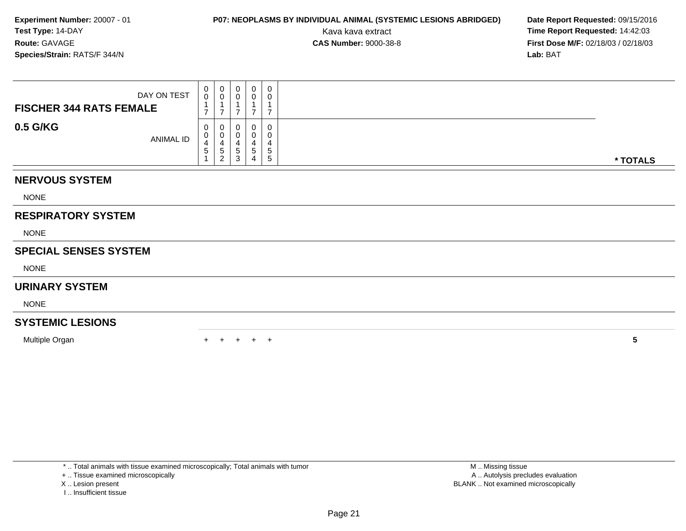# **P07: NEOPLASMS BY INDIVIDUAL ANIMAL (SYSTEMIC LESIONS ABRIDGED) Date Report Requested:** 09/15/2016

Kava kava extract **Time Report Requested:** 14:42:03<br>**CAS Number:** 9000-38-8 **Time Report Requested:** 14:42:03 **First Dose M/F:** 02/18/03 / 02/18/03<br>**Lab:** BAT **Lab:** BAT

| DAY ON TEST<br><b>FISCHER 344 RATS FEMALE</b> | 0<br>$\mathsf{O}\xspace$<br>$\overline{\phantom{a}}$ | 0<br>$\ddot{\mathbf{0}}$<br>$\mathbf{1}$<br>$\overline{7}$ | 0<br>0<br>$\overline{7}$ | $\pmb{0}$<br>0<br>1<br>$\overline{7}$ | $\mathbf 0$<br>0<br>$\overline{ }$ |          |
|-----------------------------------------------|------------------------------------------------------|------------------------------------------------------------|--------------------------|---------------------------------------|------------------------------------|----------|
| 0.5 G/KG<br>ANIMAL ID                         | 0<br>0<br>4<br>5                                     | 0<br>0<br>$\overline{4}$<br>$\,$ 5 $\,$<br>$\overline{2}$  | 0<br>0<br>4<br>5<br>3    | 0<br>0<br>4<br>5<br>4                 | 0<br>0<br>4<br>$\,$ 5 $\,$<br>5    | * TOTALS |
| <b>NERVOUS SYSTEM</b>                         |                                                      |                                                            |                          |                                       |                                    |          |
| <b>NONE</b>                                   |                                                      |                                                            |                          |                                       |                                    |          |
| <b>RESPIRATORY SYSTEM</b>                     |                                                      |                                                            |                          |                                       |                                    |          |
| <b>NONE</b>                                   |                                                      |                                                            |                          |                                       |                                    |          |
| <b>SPECIAL SENSES SYSTEM</b>                  |                                                      |                                                            |                          |                                       |                                    |          |
| <b>NONE</b>                                   |                                                      |                                                            |                          |                                       |                                    |          |
| <b>URINARY SYSTEM</b>                         |                                                      |                                                            |                          |                                       |                                    |          |
| <b>NONE</b>                                   |                                                      |                                                            |                          |                                       |                                    |          |
| <b>SYSTEMIC LESIONS</b>                       |                                                      |                                                            |                          |                                       |                                    |          |
| Multiple Organ                                |                                                      |                                                            | $+$                      | $+$                                   | $\overline{+}$                     | 5        |

\* .. Total animals with tissue examined microscopically; Total animals with tumor

+ .. Tissue examined microscopically

- X .. Lesion present
- I .. Insufficient tissue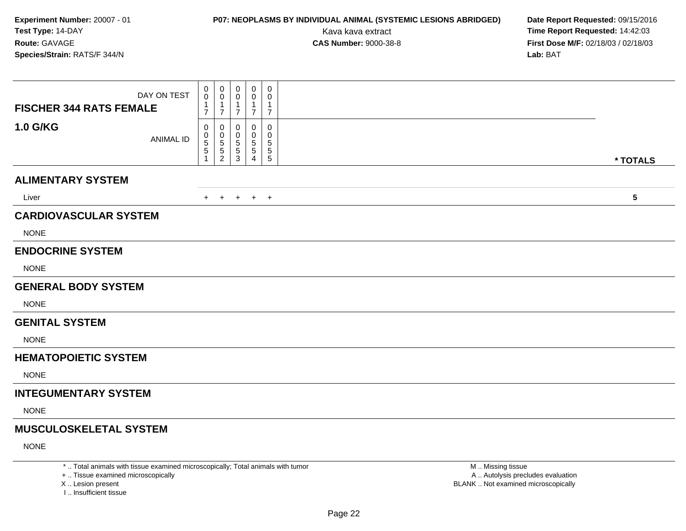# **P07: NEOPLASMS BY INDIVIDUAL ANIMAL (SYSTEMIC LESIONS ABRIDGED) Date Report Requested:** 09/15/2016

Kava kava extract **Time Report Requested:** 14:42:03<br>**CAS Number:** 9000-38-8 **Time Report Requested:** 14:42:03 **First Dose M/F:** 02/18/03 / 02/18/03<br>**Lab:** BAT **Lab:** BAT

| DAY ON TEST<br><b>FISCHER 344 RATS FEMALE</b> | 0<br>0<br>$\mathbf 1$         | 0<br>0<br>1                            | 0<br>0<br>-1                  | 0<br>0<br>-1                  | $\mathbf 0$<br>0<br>$\overline{1}$                         |           |
|-----------------------------------------------|-------------------------------|----------------------------------------|-------------------------------|-------------------------------|------------------------------------------------------------|-----------|
| <b>1.0 G/KG</b><br><b>ANIMAL ID</b>           | $\overline{7}$<br>0<br>0<br>5 | $\overline{7}$<br>0<br>0<br>$\sqrt{5}$ | $\overline{7}$<br>0<br>0<br>5 | $\overline{7}$<br>0<br>0<br>5 | $\overline{7}$<br>$\mathbf 0$<br>$\mathbf 0$<br>$\sqrt{5}$ |           |
|                                               | 5<br>1                        | 5<br>$\overline{c}$                    | $\mathbf 5$<br>3              | $\sqrt{5}$<br>Δ               | $\sqrt{5}$<br>$\sqrt{5}$                                   | * TOTALS  |
| <b>ALIMENTARY SYSTEM</b>                      |                               |                                        |                               |                               |                                                            |           |
| Liver                                         | $+$                           | $+$                                    | $+$                           | $+$                           | $+$                                                        | ${\bf 5}$ |
| <b>CARDIOVASCULAR SYSTEM</b>                  |                               |                                        |                               |                               |                                                            |           |
| <b>NONE</b>                                   |                               |                                        |                               |                               |                                                            |           |
| <b>ENDOCRINE SYSTEM</b>                       |                               |                                        |                               |                               |                                                            |           |
| <b>NONE</b>                                   |                               |                                        |                               |                               |                                                            |           |
| <b>GENERAL BODY SYSTEM</b>                    |                               |                                        |                               |                               |                                                            |           |
| <b>NONE</b>                                   |                               |                                        |                               |                               |                                                            |           |
| <b>GENITAL SYSTEM</b>                         |                               |                                        |                               |                               |                                                            |           |
| <b>NONE</b>                                   |                               |                                        |                               |                               |                                                            |           |
| <b>HEMATOPOIETIC SYSTEM</b>                   |                               |                                        |                               |                               |                                                            |           |
| <b>NONE</b>                                   |                               |                                        |                               |                               |                                                            |           |
| <b>INTEGUMENTARY SYSTEM</b>                   |                               |                                        |                               |                               |                                                            |           |
| <b>NONE</b>                                   |                               |                                        |                               |                               |                                                            |           |
| <b>MUSCULOSKELETAL SYSTEM</b>                 |                               |                                        |                               |                               |                                                            |           |
| <b>NONE</b>                                   |                               |                                        |                               |                               |                                                            |           |

\* .. Total animals with tissue examined microscopically; Total animals with tumor

+ .. Tissue examined microscopically

X .. Lesion present

I .. Insufficient tissue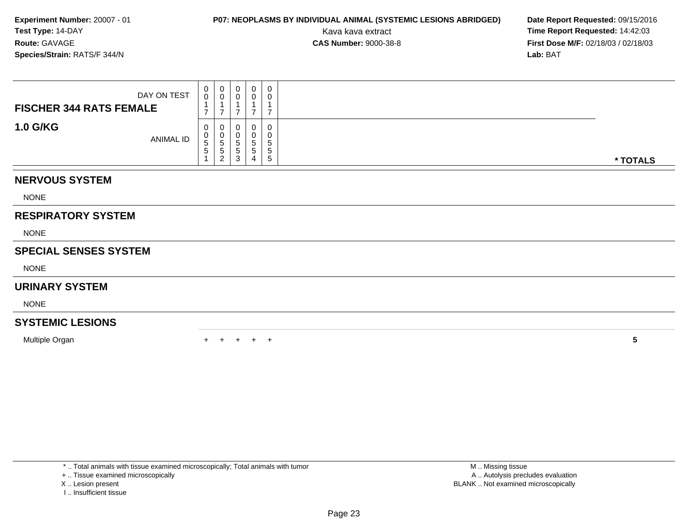# **P07: NEOPLASMS BY INDIVIDUAL ANIMAL (SYSTEMIC LESIONS ABRIDGED) Date Report Requested:** 09/15/2016

Kava kava extract **Time Report Requested:** 14:42:03<br>**CAS Number:** 9000-38-8 **Time Report Requested:** 14:42:03 **First Dose M/F:** 02/18/03 / 02/18/03<br>**Lab:** BAT **Lab:** BAT

| DAY ON TEST<br><b>FISCHER 344 RATS FEMALE</b> | 0<br>$\mathbf 0$<br>$\overline{\phantom{a}}$ | 0<br>$\ddot{\mathbf{0}}$<br>$\mathbf{1}$<br>$\overline{7}$ | 0<br>0<br>$\overline{ }$ | $\pmb{0}$<br>0<br>1<br>$\overline{7}$ | $\pmb{0}$<br>0<br>$\overline{ }$        |          |
|-----------------------------------------------|----------------------------------------------|------------------------------------------------------------|--------------------------|---------------------------------------|-----------------------------------------|----------|
| <b>1.0 G/KG</b><br>ANIMAL ID                  | 0<br>0<br>5<br>5                             | 0<br>$\pmb{0}$<br>5<br>5<br>$\overline{2}$                 | 0<br>0<br>5<br>5<br>3    | 0<br>0<br>5<br>5<br>$\overline{4}$    | 0<br>0<br>$\sqrt{5}$<br>$\sqrt{5}$<br>5 | * TOTALS |
| <b>NERVOUS SYSTEM</b>                         |                                              |                                                            |                          |                                       |                                         |          |
| <b>NONE</b>                                   |                                              |                                                            |                          |                                       |                                         |          |
| <b>RESPIRATORY SYSTEM</b>                     |                                              |                                                            |                          |                                       |                                         |          |
| <b>NONE</b>                                   |                                              |                                                            |                          |                                       |                                         |          |
| <b>SPECIAL SENSES SYSTEM</b>                  |                                              |                                                            |                          |                                       |                                         |          |
| <b>NONE</b>                                   |                                              |                                                            |                          |                                       |                                         |          |
| <b>URINARY SYSTEM</b>                         |                                              |                                                            |                          |                                       |                                         |          |
| <b>NONE</b>                                   |                                              |                                                            |                          |                                       |                                         |          |
| <b>SYSTEMIC LESIONS</b>                       |                                              |                                                            |                          |                                       |                                         |          |
| Multiple Organ                                |                                              |                                                            |                          | $+$                                   | $^+$                                    | 5        |

\* .. Total animals with tissue examined microscopically; Total animals with tumor

+ .. Tissue examined microscopically

X .. Lesion present

I .. Insufficient tissue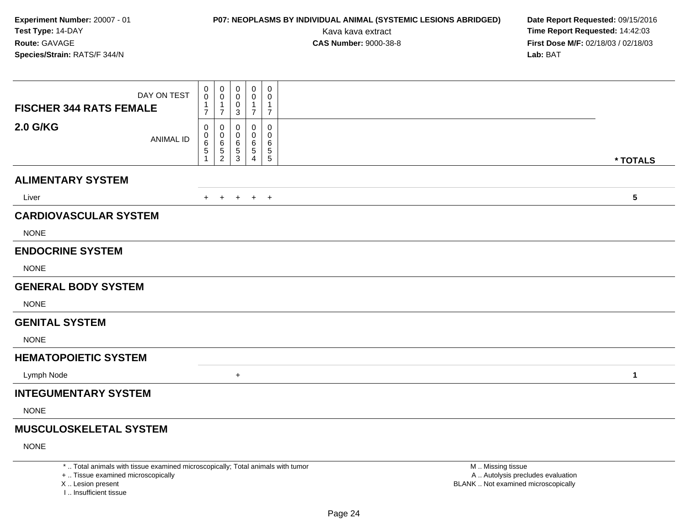# **P07: NEOPLASMS BY INDIVIDUAL ANIMAL (SYSTEMIC LESIONS ABRIDGED) Date Report Requested:** 09/15/2016

Kava kava extract **Time Report Requested:** 14:42:03<br>**CAS Number:** 9000-38-8 **Time Report Requested:** 14:42:03 **First Dose M/F:** 02/18/03 / 02/18/03<br>**Lab:** BAT **Lab:** BAT

| <b>FISCHER 344 RATS FEMALE</b> | DAY ON TEST      | 0<br>$\mathbf 0$<br>1<br>$\overline{7}$ | 0<br>$\mathbf 0$<br>$\overline{7}$                       | 0<br>0<br>0<br>$\mathsf 3$                 | $\mathbf 0$<br>$\mathbf 0$<br>1<br>$\overline{7}$ | 0<br>0<br>1<br>$\overline{7}$               |              |
|--------------------------------|------------------|-----------------------------------------|----------------------------------------------------------|--------------------------------------------|---------------------------------------------------|---------------------------------------------|--------------|
| <b>2.0 G/KG</b>                | <b>ANIMAL ID</b> | 0<br>0<br>$\,6$<br>5                    | 0<br>$\mathbf 0$<br>$\,6\,$<br>$\mathbf 5$<br>$\sqrt{2}$ | 0<br>0<br>6<br>$\,$ 5 $\,$<br>$\mathbf{3}$ | 0<br>0<br>6<br>$\sqrt{5}$<br>4                    | 0<br>0<br>6<br>$\overline{5}$<br>$\sqrt{5}$ | * TOTALS     |
| <b>ALIMENTARY SYSTEM</b>       |                  |                                         |                                                          |                                            |                                                   |                                             |              |
| Liver                          |                  | $+$                                     | $+$                                                      |                                            | $+$ $+$ $+$                                       |                                             | $\sqrt{5}$   |
| <b>CARDIOVASCULAR SYSTEM</b>   |                  |                                         |                                                          |                                            |                                                   |                                             |              |
| <b>NONE</b>                    |                  |                                         |                                                          |                                            |                                                   |                                             |              |
| <b>ENDOCRINE SYSTEM</b>        |                  |                                         |                                                          |                                            |                                                   |                                             |              |
| <b>NONE</b>                    |                  |                                         |                                                          |                                            |                                                   |                                             |              |
| <b>GENERAL BODY SYSTEM</b>     |                  |                                         |                                                          |                                            |                                                   |                                             |              |
| <b>NONE</b>                    |                  |                                         |                                                          |                                            |                                                   |                                             |              |
| <b>GENITAL SYSTEM</b>          |                  |                                         |                                                          |                                            |                                                   |                                             |              |
| <b>NONE</b>                    |                  |                                         |                                                          |                                            |                                                   |                                             |              |
| <b>HEMATOPOIETIC SYSTEM</b>    |                  |                                         |                                                          |                                            |                                                   |                                             |              |
| Lymph Node                     |                  |                                         |                                                          | $\ddot{}$                                  |                                                   |                                             | $\mathbf{1}$ |
| <b>INTEGUMENTARY SYSTEM</b>    |                  |                                         |                                                          |                                            |                                                   |                                             |              |
| <b>NONE</b>                    |                  |                                         |                                                          |                                            |                                                   |                                             |              |
| <b>MUSCULOSKELETAL SYSTEM</b>  |                  |                                         |                                                          |                                            |                                                   |                                             |              |
| <b>NONE</b>                    |                  |                                         |                                                          |                                            |                                                   |                                             |              |

\* .. Total animals with tissue examined microscopically; Total animals with tumor

+ .. Tissue examined microscopically

X .. Lesion present

I .. Insufficient tissue